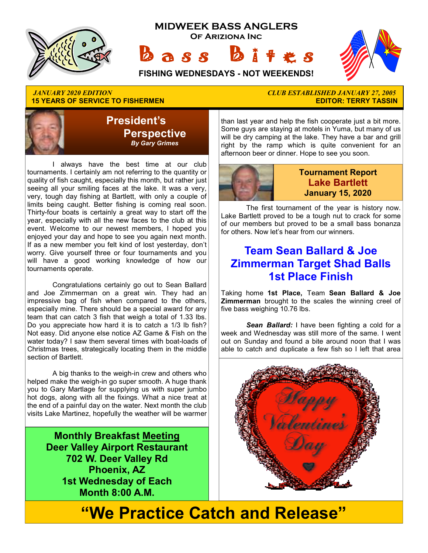

# **15 YEARS OF SERVICE TO FISHERMEN**



 I always have the best time at our club tournaments. I certainly am not referring to the quantity or quality of fish caught, especially this month, but rather just seeing all your smiling faces at the lake. It was a very, very, tough day fishing at Bartlett, with only a couple of limits being caught. Better fishing is coming real soon. Thirty-four boats is certainly a great way to start off the year, especially with all the new faces to the club at this event. Welcome to our newest members, I hoped you enjoyed your day and hope to see you again next month. If as a new member you felt kind of lost yesterday, don't worry. Give yourself three or four tournaments and you will have a good working knowledge of how our tournaments operate.

 Congratulations certainly go out to Sean Ballard and Joe Zimmerman on a great win. They had an impressive bag of fish when compared to the others, especially mine. There should be a special award for any team that can catch 3 fish that weigh a total of 1.33 lbs. Do you appreciate how hard it is to catch a 1/3 lb fish? Not easy. Did anyone else notice AZ Game & Fish on the water today? I saw them several times with boat-loads of Christmas trees, strategically locating them in the middle section of Bartlett.

 A big thanks to the weigh-in crew and others who helped make the weigh-in go super smooth. A huge thank you to Gary Martlage for supplying us with super jumbo hot dogs, along with all the fixings. What a nice treat at the end of a painful day on the water. Next month the club visits Lake Martinez, hopefully the weather will be warmer

> **Monthly Breakfast Meeting Deer Valley Airport Restaurant 702 W. Deer Valley Rd Phoenix, AZ 1st Wednesday of Each Month 8:00 A.M.**

# *JANUARY 2020 EDITION CLUB ESTABLISHED JANUARY 27, 2005*

than last year and help the fish cooperate just a bit more. Some guys are staying at motels in Yuma, but many of us will be dry camping at the lake. They have a bar and grill right by the ramp which is quite convenient for an afternoon beer or dinner. Hope to see you soon.



#### **Tournament Report Lake Bartlett January 15, 2020**

 The first tournament of the year is history now. Lake Bartlett proved to be a tough nut to crack for some of our members but proved to be a small bass bonanza for others. Now let's hear from our winners.

## **Team Sean Ballard & Joe Zimmerman Target Shad Balls 1st Place Finish**

Taking home **1st Place,** Team **Sean Ballard & Joe Zimmerman** brought to the scales the winning creel of five bass weighing 10.76 lbs.

*Sean Ballard:* I have been fighting a cold for a week and Wednesday was still more of the same. I went out on Sunday and found a bite around noon that I was able to catch and duplicate a few fish so I left that area



# **"We Practice Catch and Release"**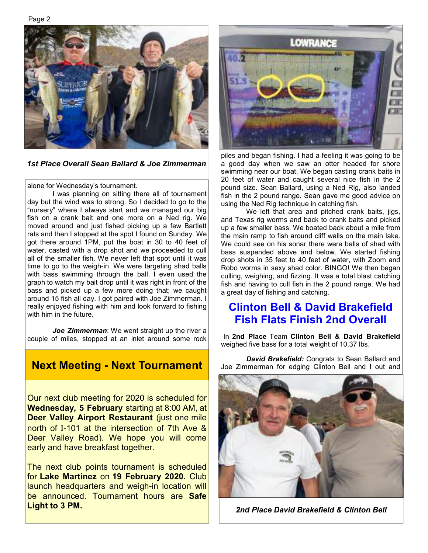Page 2



*1st Place Overall Sean Ballard & Joe Zimmerman* 

alone for Wednesday's tournament.

 I was planning on sitting there all of tournament day but the wind was to strong. So I decided to go to the "nursery" where I always start and we managed our big fish on a crank bait and one more on a Ned rig. We moved around and just fished picking up a few Bartlett rats and then I stopped at the spot I found on Sunday. We got there around 1PM, put the boat in 30 to 40 feet of water, casted with a drop shot and we proceeded to cull all of the smaller fish. We never left that spot until it was time to go to the weigh-in. We were targeting shad balls with bass swimming through the ball. I even used the graph to watch my bait drop until it was right in front of the bass and picked up a few more doing that; we caught around 15 fish all day. I got paired with Joe Zimmerman. I really enjoyed fishing with him and look forward to fishing with him in the future.

 *Joe Zimmerman*: We went straight up the river a couple of miles, stopped at an inlet around some rock

Our next club meeting for 2020 is scheduled for **Wednesday, 5 February** starting at 8:00 AM, at **Deer Valley Airport Restaurant (just one mile** north of I-101 at the intersection of 7th Ave & Deer Valley Road). We hope you will come early and have breakfast together.

The next club points tournament is scheduled for **Lake Martinez** on **19 February 2020.** Club launch headquarters and weigh-in location will be announced. Tournament hours are **Safe Light to 3 PM.** 



piles and began fishing. I had a feeling it was going to be a good day when we saw an otter headed for shore swimming near our boat. We began casting crank baits in 20 feet of water and caught several nice fish in the 2 pound size. Sean Ballard, using a Ned Rig, also landed fish in the 2 pound range. Sean gave me good advice on using the Ned Rig technique in catching fish.

 We left that area and pitched crank baits, jigs, and Texas rig worms and back to crank baits and picked up a few smaller bass. We boated back about a mile from the main ramp to fish around cliff walls on the main lake. We could see on his sonar there were balls of shad with bass suspended above and below. We started fishing drop shots in 35 feet to 40 feet of water, with Zoom and Robo worms in sexy shad color. BINGO! We then began culling, weighing, and fizzing. It was a total blast catching fish and having to cull fish in the 2 pound range. We had a great day of fishing and catching.

#### **Clinton Bell & David Brakefield Fish Flats Finish 2nd Overall**

In **2nd Place** Team **Clinton Bell & David Brakefield**  weighed five bass for a total weight of 10.37 lbs.

**Next Meeting - Next Tournament** Joe Zimmerman for edging Clinton Bell and I out and **Next Tournament** Joe Zimmerman for edging Clinton Bell and I out and



*2nd Place David Brakefield & Clinton Bell*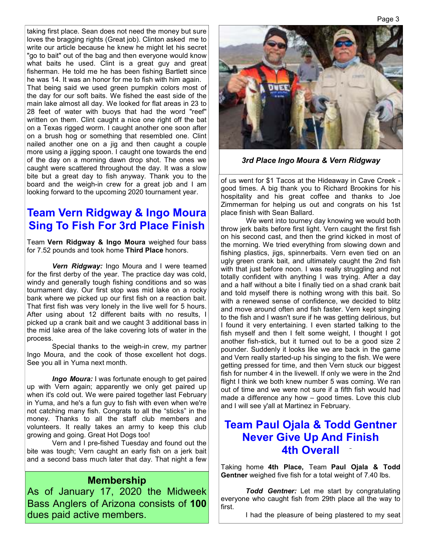taking first place. Sean does not need the money but sure loves the bragging rights (Great job). Clinton asked me to write our article because he knew he might let his secret "go to bait" out of the bag and then everyone would know what baits he used. Clint is a great guy and great fisherman. He told me he has been fishing Bartlett since he was 14. It was an honor for me to fish with him again.

That being said we used green pumpkin colors most of the day for our soft baits. We fished the east side of the main lake almost all day. We looked for flat areas in 23 to 28 feet of water with buoys that had the word "reef" written on them. Clint caught a nice one right off the bat on a Texas rigged worm. I caught another one soon after on a brush hog or something that resembled one. Clint nailed another one on a jig and then caught a couple more using a jigging spoon. I caught one towards the end of the day on a morning dawn drop shot. The ones we caught were scattered throughout the day. It was a slow bite but a great day to fish anyway. Thank you to the board and the weigh-in crew for a great job and I am looking forward to the upcoming 2020 tournament year.

## **Team Vern Ridgway & Ingo Moura Sing To Fish For 3rd Place Finish**

Team **Vern Ridgway & Ingo Moura** weighed four bass for 7.52 pounds and took home **Third Place** honors.

 *Vern Ridgway:* Ingo Moura and I were teamed for the first derby of the year. The practice day was cold, windy and generally tough fishing conditions and so was tournament day. Our first stop was mid lake on a rocky bank where we picked up our first fish on a reaction bait. That first fish was very lonely in the live well for 5 hours. After using about 12 different baits with no results, I picked up a crank bait and we caught 3 additional bass in the mid lake area of the lake covering lots of water in the process.

 Special thanks to the weigh-in crew, my partner Ingo Moura, and the cook of those excellent hot dogs. See you all in Yuma next month.

 *Ingo Moura:* I was fortunate enough to get paired up with Vern again; apparently we only get paired up when it's cold out. We were paired together last February in Yuma, and he's a fun guy to fish with even when we're not catching many fish. Congrats to all the "sticks" in the money. Thanks to all the staff club members and volunteers. It really takes an army to keep this club growing and going. Great Hot Dogs too!

 Vern and I pre-fished Tuesday and found out the bite was tough; Vern caught an early fish on a jerk bait and a second bass much later that day. That night a few

#### **Membership**

As of January 17, 2020 the Midweek Bass Anglers of Arizona consists of **100**  dues paid active members.



*3rd Place Ingo Moura & Vern Ridgway*

of us went for \$1 Tacos at the Hideaway in Cave Creek good times. A big thank you to Richard Brookins for his hospitality and his great coffee and thanks to Joe Zimmerman for helping us out and congrats on his 1st place finish with Sean Ballard.

 We went into tourney day knowing we would both throw jerk baits before first light. Vern caught the first fish on his second cast, and then the grind kicked in most of the morning. We tried everything from slowing down and fishing plastics, jigs, spinnerbaits. Vern even tied on an ugly green crank bait, and ultimately caught the 2nd fish with that just before noon. I was really struggling and not totally confident with anything I was trying. After a day and a half without a bite I finally tied on a shad crank bait and told myself there is nothing wrong with this bait. So with a renewed sense of confidence, we decided to blitz and move around often and fish faster. Vern kept singing to the fish and I wasn't sure if he was getting delirious, but I found it very entertaining. I even started talking to the fish myself and then I felt some weight, I thought I got another fish-stick, but it turned out to be a good size 2 pounder. Suddenly it looks like we are back in the game and Vern really started-up his singing to the fish. We were getting pressed for time, and then Vern stuck our biggest fish for number 4 in the livewell. If only we were in the 2nd flight I think we both knew number 5 was coming. We ran out of time and we were not sure if a fifth fish would had made a difference any how – good times. Love this club and I will see y'all at Martinez in February.

#### **Team Paul Ojala & Todd Gentner Never Give Up And Finish 4th Overall**

Taking home **4th Place,** Team **Paul Ojala & Todd Gentner** weighed five fish for a total weight of 7.40 lbs.

 *Todd Gentner:* Let me start by congratulating everyone who caught fish from 29th place all the way to first.

I had the pleasure of being plastered to my seat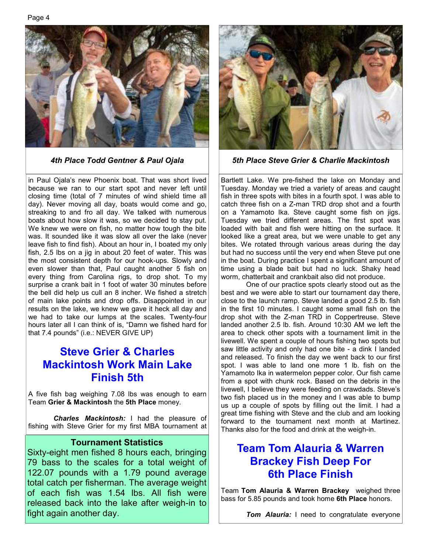Page 4



in Paul Ojala's new Phoenix boat. That was short lived because we ran to our start spot and never left until closing time (total of 7 minutes of wind shield time all day). Never moving all day, boats would come and go, streaking to and fro all day. We talked with numerous boats about how slow it was, so we decided to stay put. We knew we were on fish, no matter how tough the bite was. It sounded like it was slow all over the lake (never leave fish to find fish). About an hour in, I boated my only fish, 2.5 lbs on a jig in about 20 feet of water. This was the most consistent depth for our hook-ups. Slowly and even slower than that, Paul caught another 5 fish on every thing from Carolina rigs, to drop shot. To my surprise a crank bait in 1 foot of water 30 minutes before the bell did help us cull an 8 incher. We fished a stretch of main lake points and drop offs. Disappointed in our results on the lake, we knew we gave it heck all day and we had to take our lumps at the scales. Twenty-four hours later all I can think of is, "Damn we fished hard for that 7.4 pounds" (i.e.: NEVER GIVE UP)

# **Steve Grier & Charles Mackintosh Work Main Lake Finish 5th**

A five fish bag weighing 7.08 lbs was enough to earn Team **Grier & Mackintosh** the **5th Place** money.

 *Charles Mackintosh:* I had the pleasure of fishing with Steve Grier for my first MBA tournament at

#### **Tournament Statistics**

Sixty-eight men fished 8 hours each, bringing 79 bass to the scales for a total weight of 122.07 pounds with a 1.79 pound average total catch per fisherman. The average weight of each fish was 1.54 lbs. All fish were released back into the lake after weigh-in to fight again another day.



*4th Place Todd Gentner & Paul Ojala 5th Place Steve Grier & Charlie Mackintosh* 

Bartlett Lake. We pre-fished the lake on Monday and Tuesday. Monday we tried a variety of areas and caught fish in three spots with bites in a fourth spot. I was able to catch three fish on a Z-man TRD drop shot and a fourth on a Yamamoto Ika. Steve caught some fish on jigs. Tuesday we tried different areas. The first spot was loaded with bait and fish were hitting on the surface. It looked like a great area, but we were unable to get any bites. We rotated through various areas during the day but had no success until the very end when Steve put one in the boat. During practice I spent a significant amount of time using a blade bait but had no luck. Shaky head worm, chatterbait and crankbait also did not produce.

 One of our practice spots clearly stood out as the best and we were able to start our tournament day there, close to the launch ramp. Steve landed a good 2.5 lb. fish in the first 10 minutes. I caught some small fish on the drop shot with the Z-man TRD in Coppertreuse. Steve landed another 2.5 lb. fish. Around 10:30 AM we left the area to check other spots with a tournament limit in the livewell. We spent a couple of hours fishing two spots but saw little activity and only had one bite - a dink I landed and released. To finish the day we went back to our first spot. I was able to land one more 1 lb. fish on the Yamamoto Ika in watermelon pepper color. Our fish came from a spot with chunk rock. Based on the debris in the livewell, I believe they were feeding on crawdads. Steve's two fish placed us in the money and I was able to bump us up a couple of spots by filling out the limit. I had a great time fishing with Steve and the club and am looking forward to the tournament next month at Martinez. Thanks also for the food and drink at the weigh-in.

## **Team Tom Alauria & Warren Brackey Fish Deep For 6th Place Finish**

Team **Tom Alauria & Warren Brackey** weighed three bass for 5.85 pounds and took home **6th Place** honors.

*Tom Alauria:* I need to congratulate everyone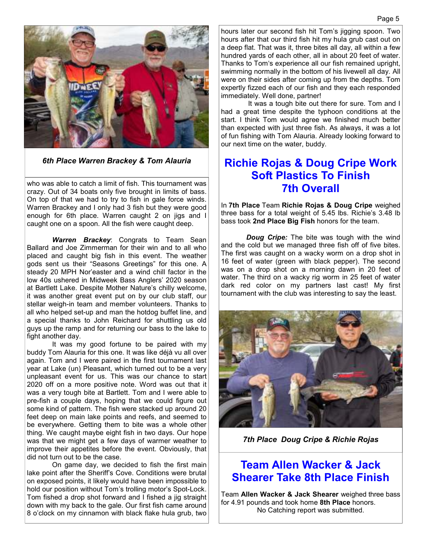

*6th Place Warren Brackey & Tom Alauria* 

who was able to catch a limit of fish. This tournament was crazy. Out of 34 boats only five brought in limits of bass. On top of that we had to try to fish in gale force winds. Warren Brackey and I only had 3 fish but they were good enough for 6th place. Warren caught 2 on jigs and I caught one on a spoon. All the fish were caught deep.

 *Warren Brackey*: Congrats to Team Sean Ballard and Joe Zimmerman for their win and to all who placed and caught big fish in this event. The weather gods sent us their "Seasons Greetings" for this one. A steady 20 MPH Nor'easter and a wind chill factor in the low 40s ushered in Midweek Bass Anglers' 2020 season at Bartlett Lake. Despite Mother Nature's chilly welcome, it was another great event put on by our club staff, our stellar weigh-in team and member volunteers. Thanks to all who helped set-up and man the hotdog buffet line, and a special thanks to John Reichard for shuttling us old guys up the ramp and for returning our bass to the lake to fight another day.

 It was my good fortune to be paired with my buddy Tom Alauria for this one. It was like déjà vu all over again. Tom and I were paired in the first tournament last year at Lake (un) Pleasant, which turned out to be a very unpleasant event for us. This was our chance to start 2020 off on a more positive note. Word was out that it was a very tough bite at Bartlett. Tom and I were able to pre-fish a couple days, hoping that we could figure out some kind of pattern. The fish were stacked up around 20 feet deep on main lake points and reefs, and seemed to be everywhere. Getting them to bite was a whole other thing. We caught maybe eight fish in two days. Our hope was that we might get a few days of warmer weather to improve their appetites before the event. Obviously, that did not turn out to be the case.

 On game day, we decided to fish the first main lake point after the Sheriff's Cove. Conditions were brutal on exposed points, it likely would have been impossible to hold our position without Tom's trolling motor's Spot-Lock. Tom fished a drop shot forward and I fished a jig straight down with my back to the gale. Our first fish came around 8 o'clock on my cinnamon with black flake hula grub, two hours later our second fish hit Tom's jigging spoon. Two hours after that our third fish hit my hula grub cast out on a deep flat. That was it, three bites all day, all within a few hundred yards of each other, all in about 20 feet of water. Thanks to Tom's experience all our fish remained upright, swimming normally in the bottom of his livewell all day. All were on their sides after coming up from the depths. Tom expertly fizzed each of our fish and they each responded immediately. Well done, partner!

 It was a tough bite out there for sure. Tom and I had a great time despite the typhoon conditions at the start. I think Tom would agree we finished much better than expected with just three fish. As always, it was a lot of fun fishing with Tom Alauria. Already looking forward to our next time on the water, buddy.

#### **Richie Rojas & Doug Cripe Work Soft Plastics To Finish 7th Overall**

In **7th Place** Team **Richie Rojas & Doug Cripe** weighed three bass for a total weight of 5.45 lbs. Richie's 3.48 lb bass took **2nd Place Big Fish** honors for the team.

 *Doug Cripe:* The bite was tough with the wind and the cold but we managed three fish off of five bites. The first was caught on a wacky worm on a drop shot in 16 feet of water (green with black pepper). The second was on a drop shot on a morning dawn in 20 feet of water. The third on a wacky rig worm in 25 feet of water dark red color on my partners last cast! My first tournament with the club was interesting to say the least.



*7th Place Doug Cripe & Richie Rojas* 

#### **Team Allen Wacker & Jack Shearer Take 8th Place Finish**

Team **Allen Wacker & Jack Shearer** weighed three bass for 4.91 pounds and took home **8th Place** honors. No Catching report was submitted.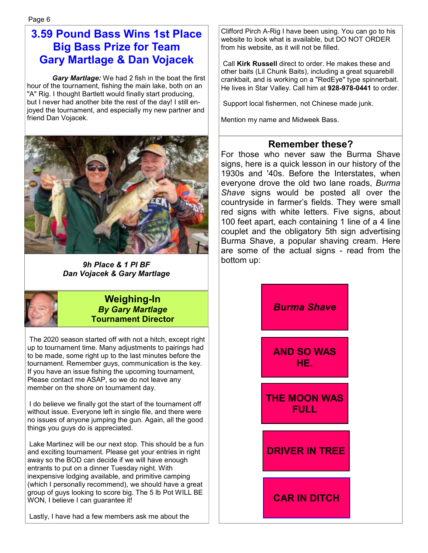# **3.59 Pound Bass Wins 1st Place Big Bass Prize for Team Gary Martlage & Dan Vojacek**

 *Gary Martlage:* We had 2 fish in the boat the first hour of the tournament, fishing the main lake, both on an "A" Rig. I thought Bartlett would finally start producing, but I never had another bite the rest of the day! I still enjoyed the tournament, and especially my new partner and friend Dan Vojacek.



*9h Place & 1 Pl BF Dan Vojacek & Gary Martlage* 



#### **Weighing-In**  *By Gary Martlage*  **Tournament Director**

 The 2020 season started off with not a hitch, except right up to tournament time. Many adjustments to pairings had to be made, some right up to the last minutes before the tournament. Remember guys, communication is the key. If you have an issue fishing the upcoming tournament, Please contact me ASAP, so we do not leave any member on the shore on tournament day.

 I do believe we finally got the start of the tournament off without issue. Everyone left in single file, and there were no issues of anyone jumping the gun. Again, all the good things you guys do is appreciated.

 Lake Martinez will be our next stop. This should be a fun and exciting tournament. Please get your entries in right away so the BOD can decide if we will have enough entrants to put on a dinner Tuesday night. With inexpensive lodging available, and primitive camping (which I personally recommend), we should have a great group of guys looking to score big. The 5 lb Pot WILL BE WON, I believe I can guarantee it!

Lastly, I have had a few members ask me about the

Clifford Pirch A-Rig I have been using. You can go to his website to look what is available, but DO NOT ORDER from his website, as it will not be filled.

 Call **Kirk Russell** direct to order. He makes these and other baits (Lil Chunk Baits), including a great squarebill crankbait, and is working on a "RedEye" type spinnerbait. He lives in Star Valley. Call him at **928-978-0441** to order.

Support local fishermen, not Chinese made junk.

Mention my name and Midweek Bass.

#### **Remember these?**

For those who never saw the Burma Shave signs, here is a quick lesson in our history of the 1930s and '40s. Before the Interstates, when everyone drove the old two lane roads, *Burma Shave* signs would be posted all over the countryside in farmer's fields. They were small red signs with white letters. Five signs, about 100 feet apart, each containing 1 line of a 4 line couplet and the obligatory 5th sign advertising Burma Shave, a popular shaving cream. Here are some of the actual signs - read from the bottom up:

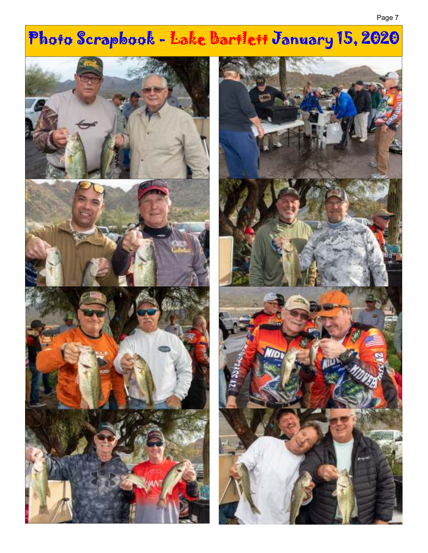# Photo Scrapbook - Lake Bartlett January 15, 2020